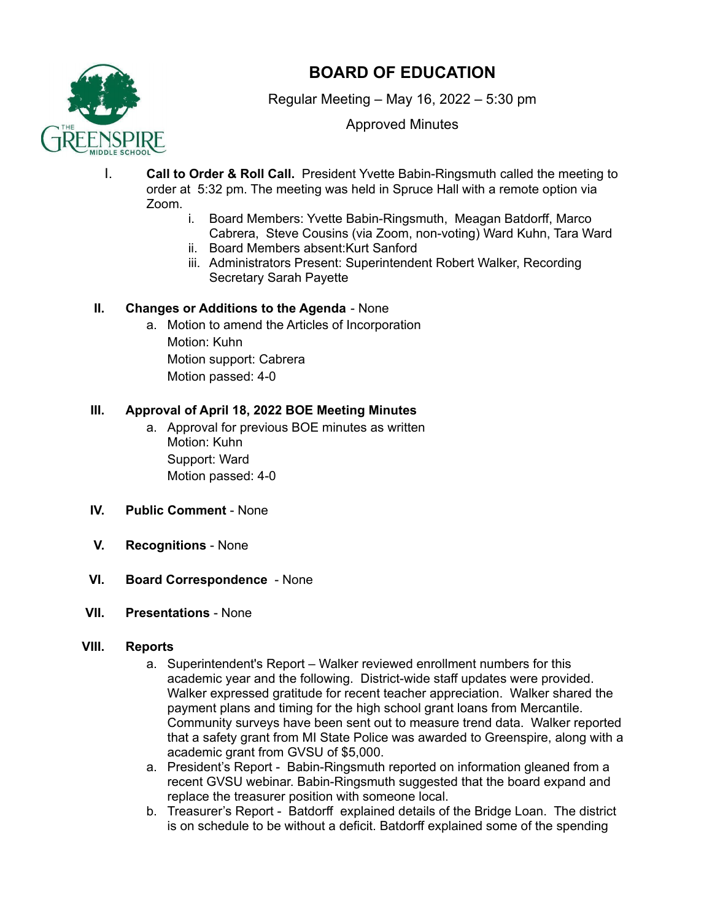

# **BOARD OF EDUCATION**

Regular Meeting – May 16, 2022 – 5:30 pm

Approved Minutes

- I. **Call to Order & Roll Call.** President Yvette Babin-Ringsmuth called the meeting to order at 5:32 pm. The meeting was held in Spruce Hall with a remote option via Zoom.
	- i. Board Members: Yvette Babin-Ringsmuth, Meagan Batdorff, Marco Cabrera, Steve Cousins (via Zoom, non-voting) Ward Kuhn, Tara Ward
	- ii. Board Members absent:Kurt Sanford
	- iii. Administrators Present: Superintendent Robert Walker, Recording Secretary Sarah Payette

# **II. Changes or Additions to the Agenda** - None

a. Motion to amend the Articles of Incorporation Motion: Kuhn Motion support: Cabrera Motion passed: 4-0

### **III. Approval of April 18, 2022 BOE Meeting Minutes**

- a. Approval for previous BOE minutes as written Motion: Kuhn Support: Ward Motion passed: 4-0
- **IV. Public Comment** None
- **V. Recognitions** None
- **VI. Board Correspondence** None
- **VII. Presentations** None

#### **VIII. Reports**

- a. Superintendent's Report Walker reviewed enrollment numbers for this academic year and the following. District-wide staff updates were provided. Walker expressed gratitude for recent teacher appreciation. Walker shared the payment plans and timing for the high school grant loans from Mercantile. Community surveys have been sent out to measure trend data. Walker reported that a safety grant from MI State Police was awarded to Greenspire, along with a academic grant from GVSU of \$5,000.
- a. President's Report Babin-Ringsmuth reported on information gleaned from a recent GVSU webinar. Babin-Ringsmuth suggested that the board expand and replace the treasurer position with someone local.
- b. Treasurer's Report Batdorff explained details of the Bridge Loan. The district is on schedule to be without a deficit. Batdorff explained some of the spending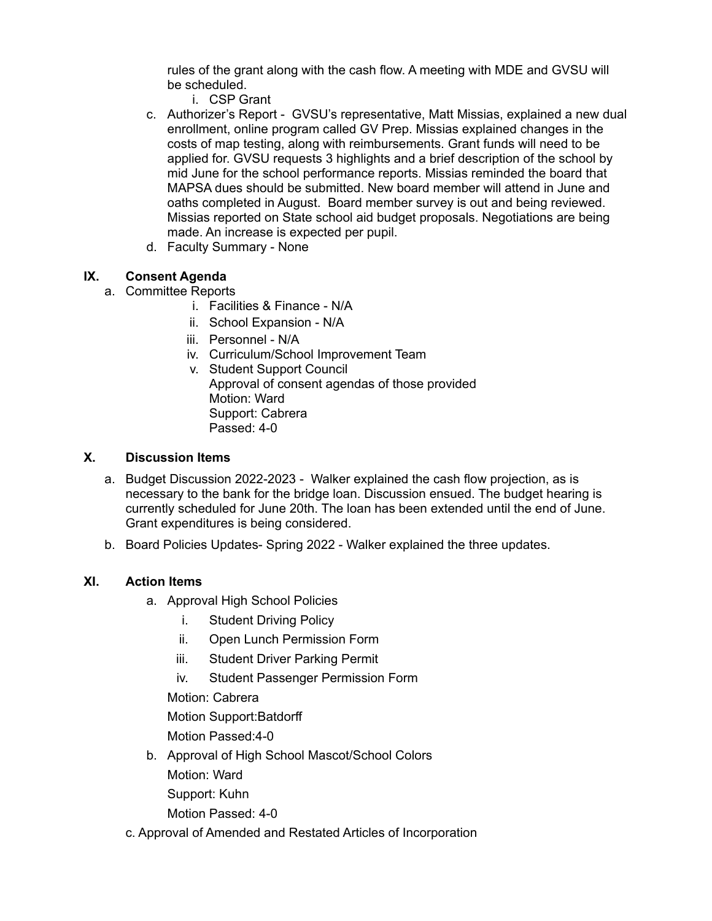rules of the grant along with the cash flow. A meeting with MDE and GVSU will be scheduled.

- i. CSP Grant
- c. Authorizer's Report GVSU's representative, Matt Missias, explained a new dual enrollment, online program called GV Prep. Missias explained changes in the costs of map testing, along with reimbursements. Grant funds will need to be applied for. GVSU requests 3 highlights and a brief description of the school by mid June for the school performance reports. Missias reminded the board that MAPSA dues should be submitted. New board member will attend in June and oaths completed in August. Board member survey is out and being reviewed. Missias reported on State school aid budget proposals. Negotiations are being made. An increase is expected per pupil.
- d. Faculty Summary None

# **IX. Consent Agenda**

- a. Committee Reports
	- i. Facilities & Finance N/A
	- ii. School Expansion N/A
	- iii. Personnel N/A
	- iv. Curriculum/School Improvement Team
	- v. Student Support Council Approval of consent agendas of those provided Motion: Ward Support: Cabrera Passed: 4-0

#### **X. Discussion Items**

- a. Budget Discussion 2022-2023 Walker explained the cash flow projection, as is necessary to the bank for the bridge loan. Discussion ensued. The budget hearing is currently scheduled for June 20th. The loan has been extended until the end of June. Grant expenditures is being considered.
- b. Board Policies Updates- Spring 2022 Walker explained the three updates.

# **XI. Action Items**

- a. Approval High School Policies
	- i. Student Driving Policy
	- ii. Open Lunch Permission Form
	- iii. Student Driver Parking Permit
	- iv. Student Passenger Permission Form
	- Motion: Cabrera
	- Motion Support:Batdorff
	- Motion Passed:4-0
- b. Approval of High School Mascot/School Colors
	- Motion: Ward
	- Support: Kuhn
	- Motion Passed: 4-0
- c. Approval of Amended and Restated Articles of Incorporation